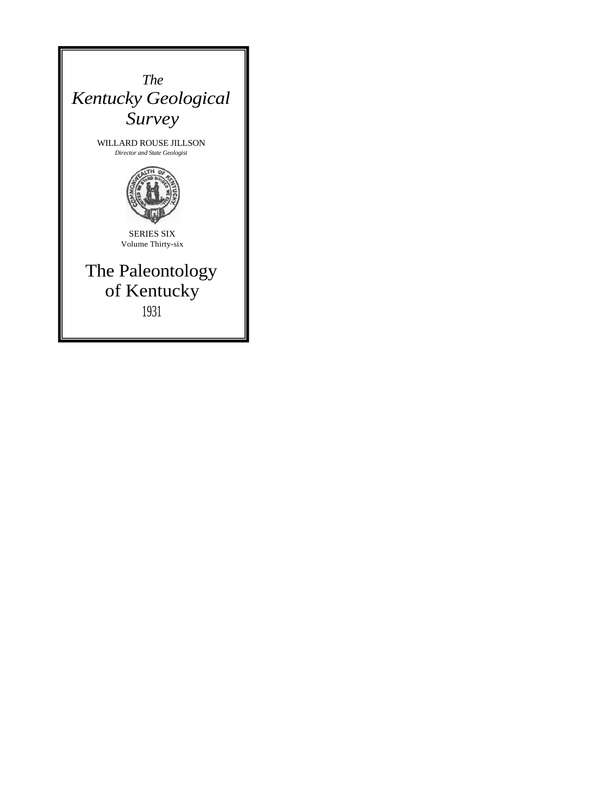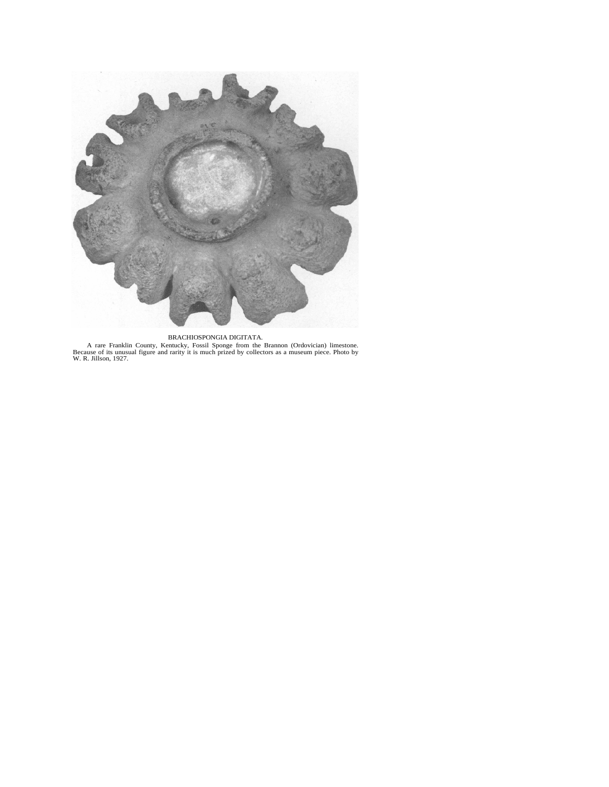

#### BRACHIOSPONGIA DIGITATA.

A rare Franklin County, Kentucky, Fossil Sponge from the Brannon (Ordovician) limestone.<br>Because of its unusual figure and rarity it is much prized by collectors as a museum piece. Photo by W. R. Jillson, 1927.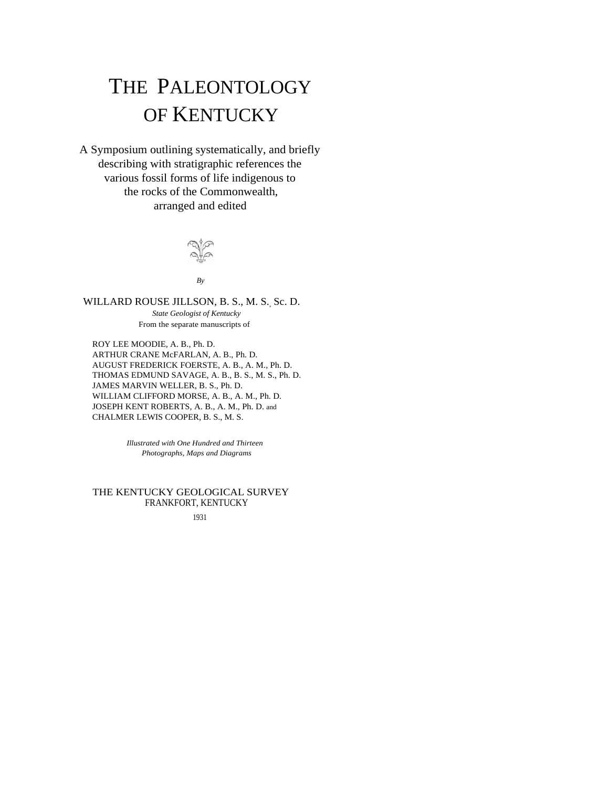# THE PALEONTOLOGY OF KENTUCKY

A Symposium outlining systematically, and briefly describing with stratigraphic references the various fossil forms of life indigenous to the rocks of the Commonwealth, arranged and edited



*By*

WILLARD ROUSE JILLSON, B. S., M. S. Sc. D. *State Geologist of Kentucky*  From the separate manuscripts of

ROY LEE MOODIE, A. B., Ph. D. ARTHUR CRANE McFARLAN, A. B., Ph. D. AUGUST FREDERICK FOERSTE, A. B., A. M., Ph. D. THOMAS EDMUND SAVAGE, A. B., B. S., M. S., Ph. D. JAMES MARVIN WELLER, B. S., Ph. D. WILLIAM CLIFFORD MORSE, A. B., A. M., Ph. D. JOSEPH KENT ROBERTS, A. B., A. M., Ph. D. and CHALMER LEWIS COOPER, B. S., M. S.

> *Illustrated with One Hundred and Thirteen Photographs, Maps and Diagrams*

## THE KENTUCKY GEOLOGICAL SURVEY FRANKFORT, KENTUCKY

1931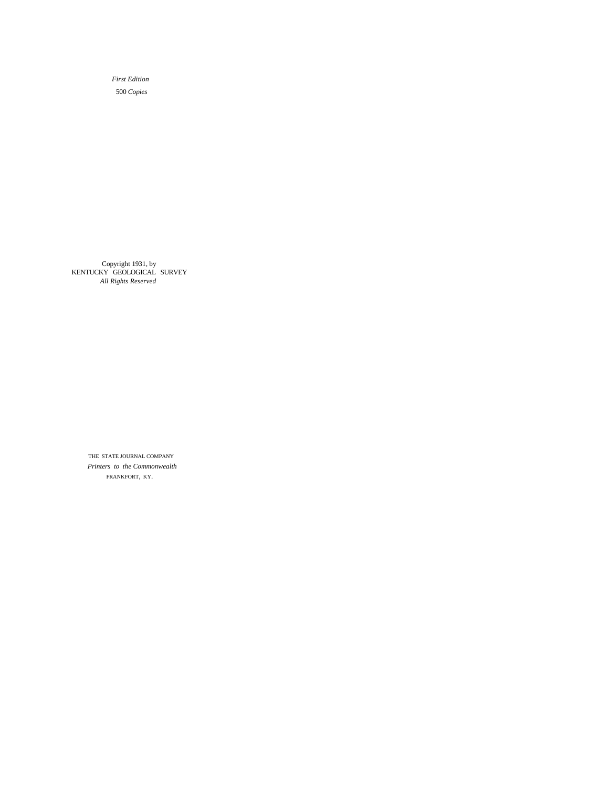*First Edition*  500 *Copies*

Copyright 1931, by KENTUCKY GEOLOGICAL SURVEY *All Rights Reserved*

> THE STATE JOURNAL COMPANY *Printers to the Commonwealth* FRANKFORT, KY.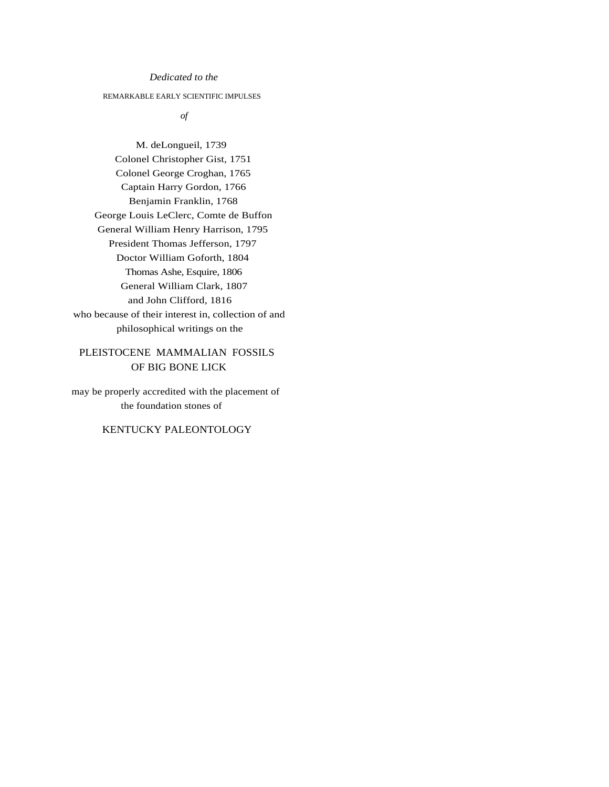## *Dedicated to the*

## REMARKABLE EARLY SCIENTIFIC IMPULSES

*of*

M. deLongueil, 1739 Colonel Christopher Gist, 1751 Colonel George Croghan, 1765 Captain Harry Gordon, 1766 Benjamin Franklin, 1768 George Louis LeClerc, Comte de Buffon General William Henry Harrison, 1795 President Thomas Jefferson, 1797 Doctor William Goforth, 1804 Thomas Ashe, Esquire, 1806 General William Clark, 1807 and John Clifford, 1816 who because of their interest in, collection of and philosophical writings on the

# PLEISTOCENE MAMMALIAN FOSSILS OF BIG BONE LICK

may be properly accredited with the placement of the foundation stones of

# KENTUCKY PALEONTOLOGY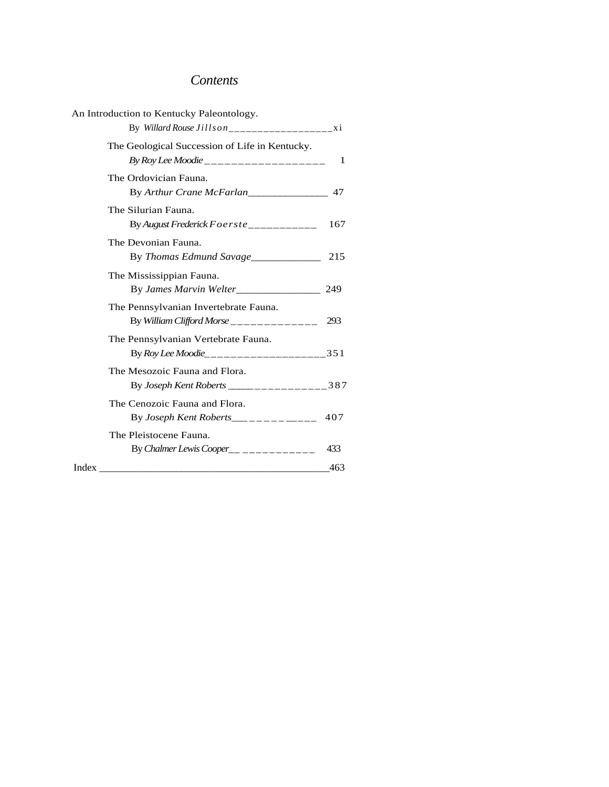# *Contents*

| The Geological Succession of Life in Kentucky.<br>By Roy Lee Moodie ____________________<br>1<br>The Ordovician Fauna.<br>By Arthur Crane McFarlan<br>The Silurian Fauna.<br>By August Frederick Foerste___________<br>The Devonian Fauna.<br>215<br>By Thomas Edmund Savage<br>The Mississippian Fauna.<br>By James Marvin Welter________________<br>249<br>The Pennsylvanian Invertebrate Fauna.<br>By William Clifford Morse_____________<br>293<br>The Pennsylvanian Vertebrate Fauna.<br>By Roy Lee Moodie______________________351<br>The Mesozoic Fauna and Flora.<br>By Joseph Kent Roberts ___________________387<br>The Cenozoic Fauna and Flora.<br>The Pleistocene Fauna.<br>By Chalmer Lewis Cooper__ __________<br>433<br>Index<br>463 | An Introduction to Kentucky Paleontology. |     |
|------------------------------------------------------------------------------------------------------------------------------------------------------------------------------------------------------------------------------------------------------------------------------------------------------------------------------------------------------------------------------------------------------------------------------------------------------------------------------------------------------------------------------------------------------------------------------------------------------------------------------------------------------------------------------------------------------------------------------------------------------|-------------------------------------------|-----|
|                                                                                                                                                                                                                                                                                                                                                                                                                                                                                                                                                                                                                                                                                                                                                      |                                           |     |
|                                                                                                                                                                                                                                                                                                                                                                                                                                                                                                                                                                                                                                                                                                                                                      |                                           |     |
|                                                                                                                                                                                                                                                                                                                                                                                                                                                                                                                                                                                                                                                                                                                                                      |                                           |     |
|                                                                                                                                                                                                                                                                                                                                                                                                                                                                                                                                                                                                                                                                                                                                                      |                                           | 167 |
|                                                                                                                                                                                                                                                                                                                                                                                                                                                                                                                                                                                                                                                                                                                                                      |                                           |     |
|                                                                                                                                                                                                                                                                                                                                                                                                                                                                                                                                                                                                                                                                                                                                                      |                                           |     |
|                                                                                                                                                                                                                                                                                                                                                                                                                                                                                                                                                                                                                                                                                                                                                      |                                           |     |
|                                                                                                                                                                                                                                                                                                                                                                                                                                                                                                                                                                                                                                                                                                                                                      |                                           |     |
|                                                                                                                                                                                                                                                                                                                                                                                                                                                                                                                                                                                                                                                                                                                                                      |                                           |     |
|                                                                                                                                                                                                                                                                                                                                                                                                                                                                                                                                                                                                                                                                                                                                                      |                                           |     |
|                                                                                                                                                                                                                                                                                                                                                                                                                                                                                                                                                                                                                                                                                                                                                      |                                           |     |
|                                                                                                                                                                                                                                                                                                                                                                                                                                                                                                                                                                                                                                                                                                                                                      |                                           |     |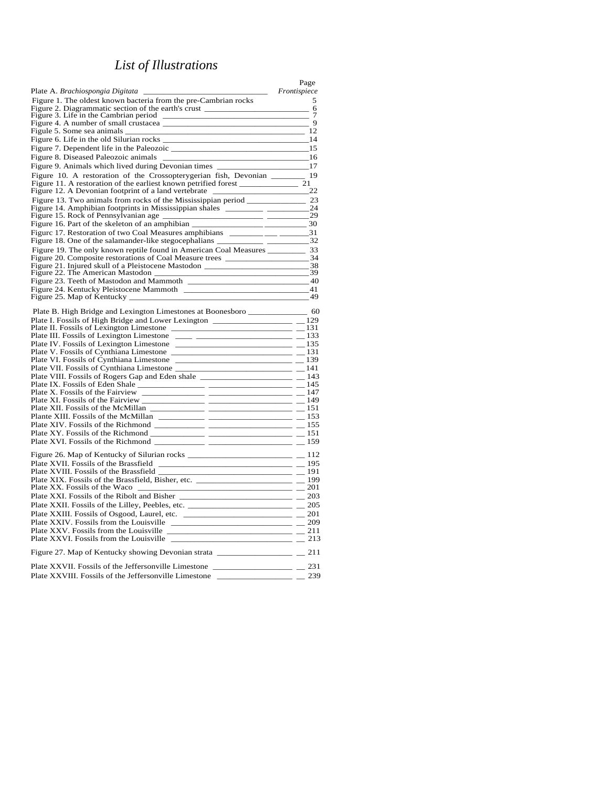# *List of Illustrations*

|                                                                                                                                                                           | Page                          |
|---------------------------------------------------------------------------------------------------------------------------------------------------------------------------|-------------------------------|
| Plate A. <i>Brachiospongia Digitata</i>                                                                                                                                   | Frontispiece                  |
| Figure 1. The oldest known bacteria from the pre-Cambrian rocks                                                                                                           | 5<br>6                        |
| Figure 2. Diagrammatic section of the earth's crust ______<br>Figure 3. Life in the Cambrian period                                                                       | 7                             |
|                                                                                                                                                                           | 9                             |
| Figule 5. Some sea animals _______                                                                                                                                        | 12                            |
|                                                                                                                                                                           | $-14$                         |
|                                                                                                                                                                           | - 15                          |
| Figure 8. Diseased Paleozoic animals                                                                                                                                      | - 16                          |
| Figure 9. Animals which lived during Devonian times ____________________________17                                                                                        |                               |
| Figure 10. A restoration of the Crossopterygerian fish, Devonian _______ 19                                                                                               |                               |
| Figure 12. A Devonian footprint of a land vertebrate ____                                                                                                                 | $\overline{\phantom{222}}$ 22 |
| Figure 13. Two animals from rocks of the Mississippian period ______________________ 23                                                                                   |                               |
| Figure 14. Amphibian footprints in Mississippian shales ___________ ____________24                                                                                        |                               |
| Figure 15. Rock of Pennsylvanian age ___                                                                                                                                  |                               |
| Figure 16. Part of the skeleton of an amphibian ______                                                                                                                    | $\frac{1}{2}$ 30              |
| Figure 17. Restoration of two Coal Measures amphibians ___________________31                                                                                              |                               |
|                                                                                                                                                                           |                               |
| Figure 19. The only known reptile found in American Coal Measures ___________ 33                                                                                          |                               |
| Figure 20. Composite restorations of Coal Measure trees _________________________34<br>Figure 21. Injured skull of a Pleistocene Mastodon _____________________________38 |                               |
| Figure 22. The American Mastodon __                                                                                                                                       |                               |
|                                                                                                                                                                           |                               |
|                                                                                                                                                                           |                               |
| Figure 25. Map of Kentucky _____                                                                                                                                          |                               |
| Plate B. High Bridge and Lexington Limestones at Boonesboro _____________________ 60                                                                                      |                               |
|                                                                                                                                                                           |                               |
|                                                                                                                                                                           |                               |
| Plate III. Fossils of Lexington Limestone _____ __________________________ __ 133                                                                                         |                               |
|                                                                                                                                                                           |                               |
| Plate V. Fossils of Cynthiana Limestone                                                                                                                                   |                               |
|                                                                                                                                                                           |                               |
|                                                                                                                                                                           |                               |
|                                                                                                                                                                           |                               |
|                                                                                                                                                                           |                               |
|                                                                                                                                                                           |                               |
|                                                                                                                                                                           |                               |
|                                                                                                                                                                           |                               |
|                                                                                                                                                                           |                               |
|                                                                                                                                                                           |                               |
|                                                                                                                                                                           |                               |
| Figure 26. Map of Kentucky of Silurian rocks ___________________________________                                                                                          | $=$ $-$ 112                   |
| <u> 1989 - Jan James James Barnett, mensk politik (d. 1989)</u><br>Plate XVII. Fossils of the Brassfield                                                                  | $=$ $-$ 195                   |
|                                                                                                                                                                           |                               |
| Plate XX. Fossils of the Waco<br>_______________________ ___ 201                                                                                                          |                               |
| Plate XXI. Fossils of the Ribolt and Bisher $\frac{1}{2}$ = $\frac{203}{2}$                                                                                               |                               |
| Plate XXII. Fossils of the Lilley, Peebles, etc. ________________________________                                                                                         | $-205$                        |
| Plate XXIII. Fossils of Osgood, Laurel, etc. ______________________________ __ 201                                                                                        |                               |
|                                                                                                                                                                           |                               |
|                                                                                                                                                                           |                               |
|                                                                                                                                                                           |                               |
| Figure 27. Map of Kentucky showing Devonian strata ______________________________                                                                                         | 211                           |
| Plate XXVII. Fossils of the Jeffersonville Limestone ___________________________                                                                                          | $-$ 231                       |
| Plate XXVIII. Fossils of the Jeffersonville Limestone ____________                                                                                                        | 239                           |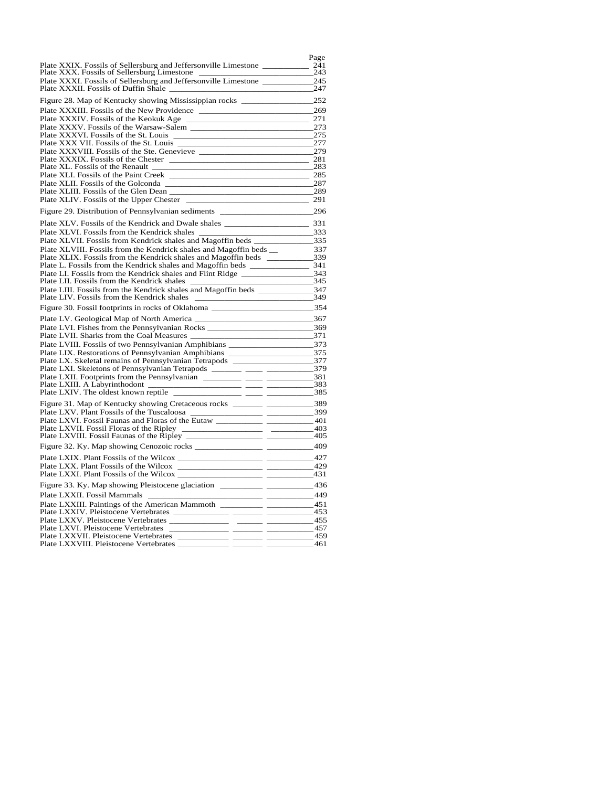|                                                                                                                                                                                                                                                                                                                                                              | Page            |
|--------------------------------------------------------------------------------------------------------------------------------------------------------------------------------------------------------------------------------------------------------------------------------------------------------------------------------------------------------------|-----------------|
| Plate XXIX. Fossils of Sellersburg and Jeffersonville Limestone _________________<br>Plate XXX. Fossils of Sellersburg Limestone                                                                                                                                                                                                                             | $-241$<br>243   |
|                                                                                                                                                                                                                                                                                                                                                              |                 |
| Plate XXXII. Fossils of Duffin Shale                                                                                                                                                                                                                                                                                                                         | 247             |
| Figure 28. Map of Kentucky showing Mississippian rocks ________________________252                                                                                                                                                                                                                                                                           |                 |
| Plate XXXIII. Fossils of the New Providence                                                                                                                                                                                                                                                                                                                  | 269             |
| Plate XXXIV. Fossils of the Keokuk Age<br><u> 1989 - Johann John Stein, mars eta biztanleria (h. 1989).</u>                                                                                                                                                                                                                                                  | 271             |
|                                                                                                                                                                                                                                                                                                                                                              | 273             |
| Plate XXXVI. Fossils of the St. Louis _____<br><u> 1989 - Johann John Harry Harry Harry Harry Harry Harry Harry Harry Harry Harry Harry Harry Harry Harry Harry Harry Harry Harry Harry Harry Harry Harry Harry Harry Harry Harry Harry Harry Harry Harry Harry Harry Harry Har</u>                                                                          | 275             |
| Plate XXX VII. Fossils of the St. Louis                                                                                                                                                                                                                                                                                                                      | 277             |
|                                                                                                                                                                                                                                                                                                                                                              |                 |
|                                                                                                                                                                                                                                                                                                                                                              | 281             |
| Plate XL. Fossils of the Renault <b>Constanting the Second Constanting Constanting Constanting Constanting Constanting Constanting Constanting Constanting Constanting Constanting Constanting Constanting Constanting Constanti</b>                                                                                                                         | 283             |
|                                                                                                                                                                                                                                                                                                                                                              | 285             |
| Plate XLIII. Fossils of the Glen Dean                                                                                                                                                                                                                                                                                                                        | 287<br>289      |
|                                                                                                                                                                                                                                                                                                                                                              | 291             |
| Figure 29. Distribution of Pennsylvanian sediments _____________________________                                                                                                                                                                                                                                                                             | 296             |
|                                                                                                                                                                                                                                                                                                                                                              |                 |
|                                                                                                                                                                                                                                                                                                                                                              |                 |
| Plate XLVI. Fossils from the Kendrick shales                                                                                                                                                                                                                                                                                                                 | 333             |
| Plate XLVII. Fossils from Kendrick shales and Magoffin beds                                                                                                                                                                                                                                                                                                  |                 |
| Plate XLVIII. Fossils from the Kendrick shales and Magoffin beds __                                                                                                                                                                                                                                                                                          | 337             |
|                                                                                                                                                                                                                                                                                                                                                              |                 |
|                                                                                                                                                                                                                                                                                                                                                              |                 |
| Plate LII. Fossils from the Kendrick shales ____                                                                                                                                                                                                                                                                                                             | 345             |
| Plate LIII. Fossils from the Kendrick shales and Magoffin beds ___________________347                                                                                                                                                                                                                                                                        |                 |
| Plate LIV. Fossils from the Kendrick shales                                                                                                                                                                                                                                                                                                                  | $\frac{349}{ }$ |
| Figure 30. Fossil footprints in rocks of Oklahoma                                                                                                                                                                                                                                                                                                            | 354             |
|                                                                                                                                                                                                                                                                                                                                                              | 367             |
| Plate LVI. Fishes from the Pennsylvanian Rocks __________________________________                                                                                                                                                                                                                                                                            | 369             |
| Plate LVII. Sharks from the Coal Measures __<br>$-371$                                                                                                                                                                                                                                                                                                       |                 |
| Plate LVIII. Fossils of two Pennsylvanian Amphibians ____________________________373                                                                                                                                                                                                                                                                         |                 |
| Plate LIX. Restorations of Pennsylvanian Amphibians ______________________________375                                                                                                                                                                                                                                                                        |                 |
|                                                                                                                                                                                                                                                                                                                                                              |                 |
| Plate LXI. Skeletons of Pennsylvanian Tetrapods ________ _____ __________________379                                                                                                                                                                                                                                                                         |                 |
|                                                                                                                                                                                                                                                                                                                                                              |                 |
|                                                                                                                                                                                                                                                                                                                                                              | 383             |
| — — — — <sup>385</sup>                                                                                                                                                                                                                                                                                                                                       |                 |
| Figure 31. Map of Kentucky showing Cretaceous rocks _______ ______________389                                                                                                                                                                                                                                                                                |                 |
|                                                                                                                                                                                                                                                                                                                                                              |                 |
|                                                                                                                                                                                                                                                                                                                                                              |                 |
|                                                                                                                                                                                                                                                                                                                                                              |                 |
|                                                                                                                                                                                                                                                                                                                                                              | - 409           |
|                                                                                                                                                                                                                                                                                                                                                              |                 |
|                                                                                                                                                                                                                                                                                                                                                              | 429             |
| Plate LXXI. Plant Fossils of the Wilcox                                                                                                                                                                                                                                                                                                                      |                 |
|                                                                                                                                                                                                                                                                                                                                                              | 436             |
| Plate LXXII. Fossil Mammals<br>$\frac{1}{2}$ $\frac{1}{2}$ $\frac{1}{2}$ $\frac{1}{2}$ $\frac{1}{2}$ $\frac{1}{2}$ $\frac{1}{2}$ $\frac{1}{2}$ $\frac{1}{2}$ $\frac{1}{2}$ $\frac{1}{2}$ $\frac{1}{2}$ $\frac{1}{2}$ $\frac{1}{2}$ $\frac{1}{2}$ $\frac{1}{2}$ $\frac{1}{2}$ $\frac{1}{2}$ $\frac{1}{2}$ $\frac{1}{2}$ $\frac{1}{2}$ $\frac{1}{2}$<br>$\sim$ |                 |
|                                                                                                                                                                                                                                                                                                                                                              |                 |
|                                                                                                                                                                                                                                                                                                                                                              |                 |
|                                                                                                                                                                                                                                                                                                                                                              | $-455$          |
| Plate LXVI. Pleistocene Vertebrates                                                                                                                                                                                                                                                                                                                          | 457             |
| Plate LXXVII. Pleistocene Vertebrates                                                                                                                                                                                                                                                                                                                        | 459             |
| Plate LXXVIII. Pleistocene Vertebrates                                                                                                                                                                                                                                                                                                                       | 461             |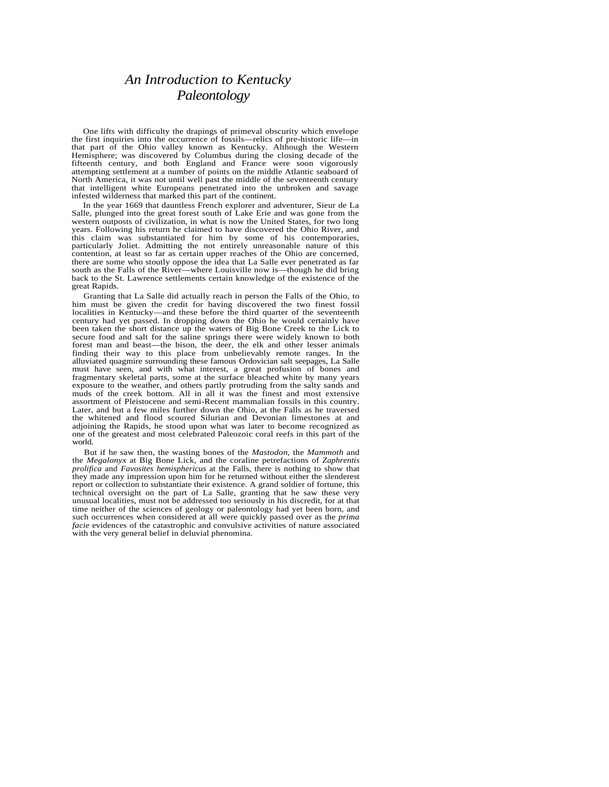# *An Introduction to Kentucky Paleontology*

One lifts with difficulty the drapings of primeval obscurity which envelope the first inquiries into the occurrence of fossils—relics of pre-historic life—in that part of the Ohio valley known as Kentucky. Although the Western Hemisphere; was discovered by Columbus during the closing decade of the fifteenth century, and both England and France were soon vigorously attempting settlement at a number of points on the middle Atlantic seaboard of North America, it was not until well past the middle of the seventeenth century that intelligent white Europeans penetrated into the unbroken and savage infested wilderness that marked this part of the continent.

In the year 1669 that dauntless French explorer and adventurer, Sieur de La Salle, plunged into the great forest south of Lake Erie and was gone from the western outposts of civilization, in what is now the United States, for two long years. Following his return he claimed to have discovered the Ohio River, and this claim was substantiated for him by some of his contemporaries, particularly Joliet. Admitting the not entirely unreasonable nature of this contention, at least so far as certain upper reaches of the Ohio are concerned, there are some who stoutly oppose the idea that La Salle ever penetrated as far south as the Falls of the River—where Louisville now is—though he did bring back to the St. Lawrence settlements certain knowledge of the existence of the great Rapids.

Granting that La Salle did actually reach in person the Falls of the Ohio, to him must be given the credit for having discovered the two finest fossil localities in Kentucky—and these before the third quarter of the seventeenth century had yet passed. In dropping down the Ohio he would certainly have been taken the short distance up the waters of Big Bone Creek to the Lick to secure food and salt for the saline springs there were widely known to both forest man and beast—the bison, the deer, the elk and other lesser animals finding their way to this place from unbelievably remote ranges. In the alluviated quagmire surrounding these famous Ordovician salt seepages, La Salle must have seen, and with what interest, a great profusion of bones and fragmentary skeletal parts, some at the surface bleached white by many years exposure to the weather, and others partly protruding from the salty sands and muds of the creek bottom. All in all it was the finest and most extensive assortment of Pleistocene and semi-Recent mammalian fossils in this country. Later, and but a few miles further down the Ohio, at the Falls as he traversed the whitened and flood scoured Silurian and Devonian limestones at and adjoining the Rapids, he stood upon what was later to become recognized as one of the greatest and most celebrated Paleozoic coral reefs in this part of the world.

But if he saw then, the wasting bones of the *Mastodon,* the *Mammoth* and the *Megalonyx* at Big Bone Lick, and the coraline petrefactions of *Zaphrentis prolifica* and *Favosites hemisphericus* at the Falls, there is nothing to show that they made any impression upon him for he returned without either the slenderest report or collection to substantiate their existence. A grand soldier of fortune, this technical oversight on the part of La Salle, granting that he saw these very unusual localities, must not be addressed too seriously in his discredit, for at that time neither of the sciences of geology or paleontology had yet been born, and such occurrences when considered at all were quickly passed over as the *prima facie* evidences of the catastrophic and convulsive activities of nature associated with the very general belief in deluvial phenomina.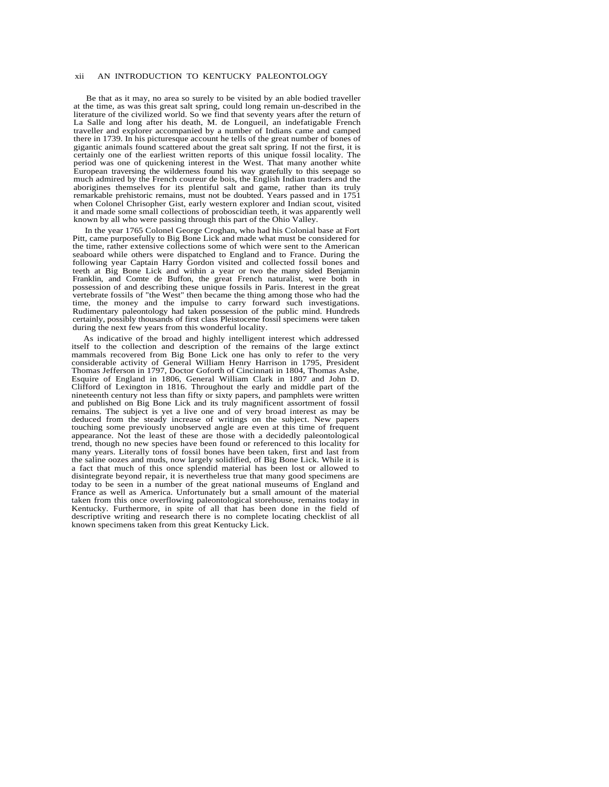### xii AN INTRODUCTION TO KENTUCKY PALEONTOLOGY

Be that as it may, no area so surely to be visited by an able bodied traveller at the time, as was this great salt spring, could long remain un-described in the literature of the civilized world. So we find that seventy years after the return of La Salle and long after his death, M. de Longueil, an indefatigable French traveller and explorer accompanied by a number of Indians came and camped there in 1739. In his picturesque account he tells of the great number of bones of gigantic animals found scattered about the great salt spring. If not the first, it is certainly one of the earliest written reports of this unique fossil locality. The period was one of quickening interest in the West. That many another white European traversing the wilderness found his way gratefully to this seepage so much admired by the French coureur de bois, the English Indian traders and the aborigines themselves for its plentiful salt and game, rather than its truly remarkable prehistoric remains, must not be doubted. Years passed and in 1751 when Colonel Chrisopher Gist, early western explorer and Indian scout, visited it and made some small collections of proboscidian teeth, it was apparently well known by all who were passing through this part of the Ohio Valley.

In the year 1765 Colonel George Croghan, who had his Colonial base at Fort Pitt, came purposefully to Big Bone Lick and made what must be considered for the time, rather extensive collections some of which were sent to the American seaboard while others were dispatched to England and to France. During the following year Captain Harry Gordon visited and collected fossil bones and teeth at Big Bone Lick and within a year or two the many sided Benjamin Franklin, and Comte de Buffon, the great French naturalist, were both in possession of and describing these unique fossils in Paris. Interest in the great vertebrate fossils of "the West" then became the thing among those who had the time, the money and the impulse to carry forward such investigations. Rudimentary paleontology had taken possession of the public mind. Hundreds certainly, possibly thousands of first class Pleistocene fossil specimens were taken during the next few years from this wonderful locality.

As indicative of the broad and highly intelligent interest which addressed itself to the collection and description of the remains of the large extinct mammals recovered from Big Bone Lick one has only to refer to the very considerable activity of General William Henry Harrison in 1795, President Thomas Jefferson in 1797, Doctor Goforth of Cincinnati in 1804, Thomas Ashe, Esquire of England in 1806, General William Clark in 1807 and John D. Clifford of Lexington in 1816. Throughout the early and middle part of the nineteenth century not less than fifty or sixty papers, and pamphlets were written and published on Big Bone Lick and its truly magnificent assortment of fossil remains. The subject is yet a live one and of very broad interest as may be deduced from the steady increase of writings on the subject. New papers touching some previously unobserved angle are even at this time of frequent appearance. Not the least of these are those with a decidedly paleontological trend, though no new species have been found or referenced to this locality for many years. Literally tons of fossil bones have been taken, first and last from the saline oozes and muds, now largely solidified, of Big Bone Lick. While it is a fact that much of this once splendid material has been lost or allowed to disintegrate beyond repair, it is nevertheless true that many good specimens are today to be seen in a number of the great national museums of England and France as well as America. Unfortunately but a small amount of the material taken from this once overflowing paleontological storehouse, remains today in Kentucky. Furthermore, in spite of all that has been done in the field of descriptive writing and research there is no complete locating checklist of all known specimens taken from this great Kentucky Lick.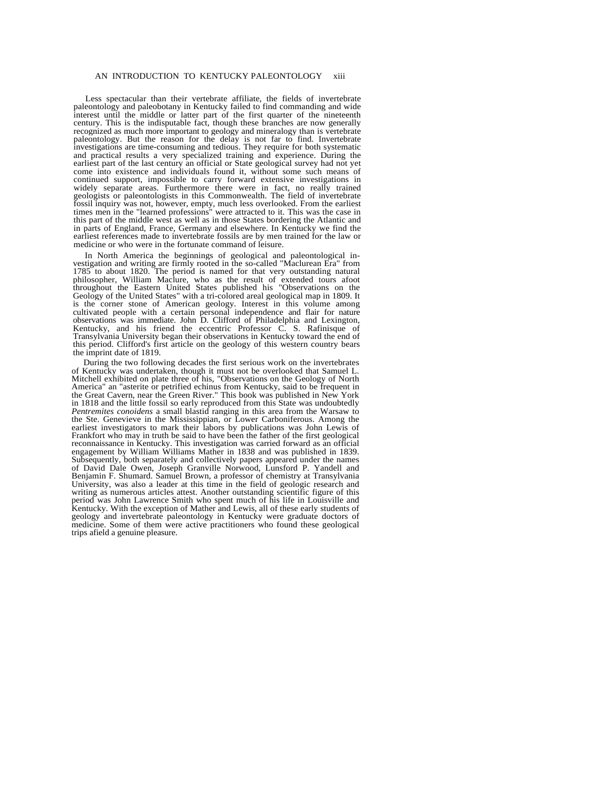Less spectacular than their vertebrate affiliate, the fields of invertebrate paleontology and paleobotany in Kentucky failed to find commanding and wide interest until the middle or latter part of the first quarter of the nineteenth century. This is the indisputable fact, though these branches are now generally recognized as much more important to geology and mineralogy than is vertebrate paleontology. But the reason for the delay is not far to find. Invertebrate investigations are time-consuming and tedious. They require for both systematic and practical results a very specialized training and experience. During the earliest part of the last century an official or State geological survey had not yet come into existence and individuals found it, without some such means of continued support, impossible to carry forward extensive investigations in widely separate areas. Furthermore there were in fact, no really trained geologists or paleontologists in this Commonwealth. The field of invertebrate fossil inquiry was not, however, empty, much less overlooked. From the earliest times men in the "learned professions" were attracted to it. This was the case in this part of the middle west as well as in those States bordering the Atlantic and in parts of England, France, Germany and elsewhere. In Kentucky we find the earliest references made to invertebrate fossils are by men trained for the law or medicine or who were in the fortunate command of leisure.

In North America the beginnings of geological and paleontological investigation and writing are firmly rooted in the so-called "Maclurean Era" from 1785 to about 1820. The period is named for that very outstanding natural philosopher, William Maclure, who as the result of extended tours afoot throughout the Eastern United States published his "Observations on the Geology of the United States" with a tri-colored areal geological map in 1809. It is the corner stone of American geology. Interest in this volume among cultivated people with a certain personal independence and flair for nature observations was immediate. John D. Clifford of Philadelphia and Lexington, Kentucky, and his friend the eccentric Professor C. S. Rafinisque of Transylvania University began their observations in Kentucky toward the end of this period. Clifford's first article on the geology of this western country bears the imprint date of 1819.

During the two following decades the first serious work on the invertebrates of Kentucky was undertaken, though it must not be overlooked that Samuel L. Mitchell exhibited on plate three of his, "Observations on the Geology of North America" an "asterite or petrified echinus from Kentucky, said to be frequent in the Great Cavern, near the Green River." This book was published in New York in 1818 and the little fossil so early reproduced from this State was undoubtedly *Pentremites conoidens* a small blastid ranging in this area from the Warsaw to the Ste. Genevieve in the Mississippian, or Lower Carboniferous. Among the earliest investigators to mark their labors by publications was John Lewis of Frankfort who may in truth be said to have been the father of the first geological reconnaissance in Kentucky. This investigation was carried forward as an official engagement by William Williams Mather in 1838 and was published in 1839. Subsequently, both separately and collectively papers appeared under the names of David Dale Owen, Joseph Granville Norwood, Lunsford P. Yandell and Benjamin F. Shumard. Samuel Brown, a professor of chemistry at Transylvania University, was also a leader at this time in the field of geologic research and writing as numerous articles attest. Another outstanding scientific figure of this period was John Lawrence Smith who spent much of his life in Louisville and Kentucky. With the exception of Mather and Lewis, all of these early students of geology and invertebrate paleontology in Kentucky were graduate doctors of medicine. Some of them were active practitioners who found these geological trips afield a genuine pleasure.